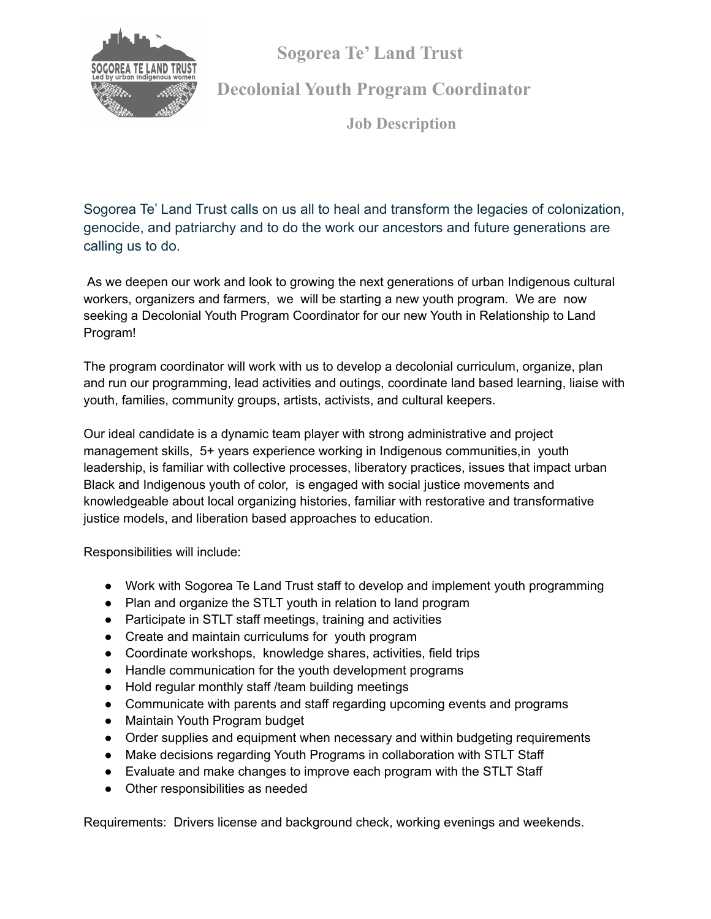**Sogorea Te' Land Trust**



**Decolonial Youth Program Coordinator**

**Job Description**

Sogorea Te' Land Trust calls on us all to heal and transform the legacies of colonization, genocide, and patriarchy and to do the work our ancestors and future generations are calling us to do.

As we deepen our work and look to growing the next generations of urban Indigenous cultural workers, organizers and farmers, we will be starting a new youth program. We are now seeking a Decolonial Youth Program Coordinator for our new Youth in Relationship to Land Program!

The program coordinator will work with us to develop a decolonial curriculum, organize, plan and run our programming, lead activities and outings, coordinate land based learning, liaise with youth, families, community groups, artists, activists, and cultural keepers.

Our ideal candidate is a dynamic team player with strong administrative and project management skills, 5+ years experience working in Indigenous communities,in youth leadership, is familiar with collective processes, liberatory practices, issues that impact urban Black and Indigenous youth of color, is engaged with social justice movements and knowledgeable about local organizing histories, familiar with restorative and transformative justice models, and liberation based approaches to education.

Responsibilities will include:

- Work with Sogorea Te Land Trust staff to develop and implement youth programming
- Plan and organize the STLT youth in relation to land program
- Participate in STLT staff meetings, training and activities
- Create and maintain curriculums for youth program
- Coordinate workshops, knowledge shares, activities, field trips
- Handle communication for the youth development programs
- Hold regular monthly staff /team building meetings
- Communicate with parents and staff regarding upcoming events and programs
- Maintain Youth Program budget
- Order supplies and equipment when necessary and within budgeting requirements
- Make decisions regarding Youth Programs in collaboration with STLT Staff
- Evaluate and make changes to improve each program with the STLT Staff
- Other responsibilities as needed

Requirements: Drivers license and background check, working evenings and weekends.